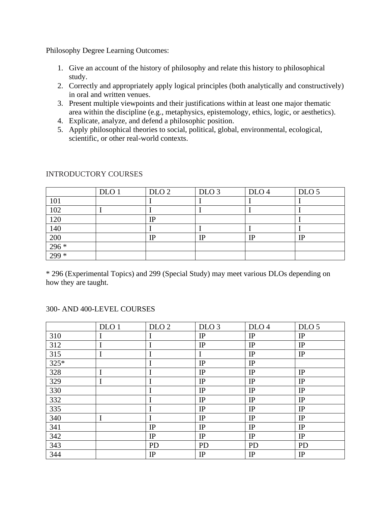Philosophy Degree Learning Outcomes:

- 1. Give an account of the history of philosophy and relate this history to philosophical study.
- 2. Correctly and appropriately apply logical principles (both analytically and constructively) in oral and written venues.
- 3. Present multiple viewpoints and their justifications within at least one major thematic area within the discipline (e.g., metaphysics, epistemology, ethics, logic, or aesthetics).
- 4. Explicate, analyze, and defend a philosophic position.
- 5. Apply philosophical theories to social, political, global, environmental, ecological, scientific, or other real-world contexts.

|        | DLO <sub>1</sub> | DLO <sub>2</sub> | DLO <sub>3</sub> | DLO <sub>4</sub> | DLO <sub>5</sub> |
|--------|------------------|------------------|------------------|------------------|------------------|
| 101    |                  |                  |                  |                  |                  |
| 102    |                  |                  |                  |                  |                  |
| 120    |                  | IΡ               |                  |                  |                  |
| 140    |                  |                  |                  |                  |                  |
| 200    |                  | $_{\rm IP}$      | IP               | IP               | IP               |
| $296*$ |                  |                  |                  |                  |                  |
| $299*$ |                  |                  |                  |                  |                  |

## INTRODUCTORY COURSES

\* 296 (Experimental Topics) and 299 (Special Study) may meet various DLOs depending on how they are taught.

## $DLO 1$   $DLO 2$   $DLO 3$   $DLO 4$   $DLO 5$

## 300- AND 400-LEVEL COURSES

 $\overline{\Gamma}$ 

|      | DLO 1 | DLO 2     | DLU 3     | DLO <sub>4</sub> | DLO <sub>2</sub> |
|------|-------|-----------|-----------|------------------|------------------|
| 310  |       |           | IP        | IP               | IP               |
| 312  |       | I         | IP        | IP               | IP               |
| 315  |       |           |           | IP               | IP               |
| 325* |       | I         | IP        | IP               |                  |
| 328  |       |           | IP        | IP               | $_{\rm IP}$      |
| 329  |       |           | IP        | IP               | IP               |
| 330  |       |           | IP        | IP               | IP               |
| 332  |       |           | IP        | IP               | IP               |
| 335  |       |           | IP        | IP               | IP               |
| 340  |       |           | IP        | IP               | IP               |
| 341  |       | IP        | IP        | IP               | IP               |
| 342  |       | IP        | IP        | IP               | IP               |
| 343  |       | <b>PD</b> | <b>PD</b> | <b>PD</b>        | <b>PD</b>        |
| 344  |       | IP        | IP        | IP               | IP               |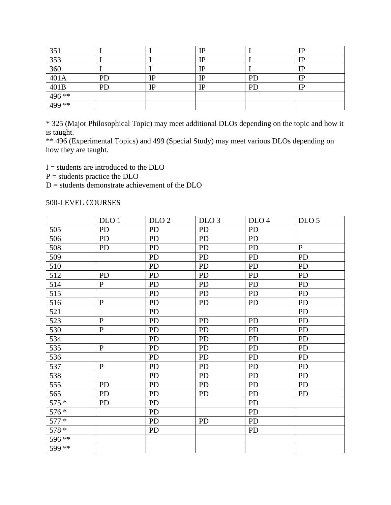| 351                  |    |         | ΙD |           | m           |
|----------------------|----|---------|----|-----------|-------------|
| $\overline{353}$     |    |         | IP |           |             |
| 360                  |    |         | IP |           | TD          |
| $\overline{401A}$    | PD | ТD<br>ш | IP | <b>PD</b> | $_{\rm IP}$ |
| $\frac{401B}{496**}$ | PD | TΠ      | TD | PD        |             |
|                      |    |         |    |           |             |
| 499 **               |    |         |    |           |             |

\* 325 (Major Philosophical Topic) may meet additional DLOs depending on the topic and how it is taught.

\*\* 496 (Experimental Topics) and 499 (Special Study) may meet various DLOs depending on how they are taught.

I = students are introduced to the DLO

 $P =$  students practice the DLO

 $D =$  students demonstrate achievement of the DLO

500-LEVEL COURSES

|         | DLO 1        | DLO <sub>2</sub> | DLO <sub>3</sub> | DLO <sub>4</sub> | DLO <sub>5</sub> |
|---------|--------------|------------------|------------------|------------------|------------------|
| 505     | PD           | <b>PD</b>        | PD               | <b>PD</b>        |                  |
| 506     | <b>PD</b>    | <b>PD</b>        | PD               | <b>PD</b>        |                  |
| 508     | PD           | <b>PD</b>        | PD               | <b>PD</b>        | $\, {\bf P}$     |
| 509     |              | <b>PD</b>        | PD               | <b>PD</b>        | <b>PD</b>        |
| 510     |              | <b>PD</b>        | PD               | <b>PD</b>        | <b>PD</b>        |
| 512     | PD           | <b>PD</b>        | PD               | <b>PD</b>        | <b>PD</b>        |
| 514     | ${\bf P}$    | <b>PD</b>        | PD               | <b>PD</b>        | <b>PD</b>        |
| 515     |              | <b>PD</b>        | PD               | <b>PD</b>        | <b>PD</b>        |
| 516     | ${\bf P}$    | <b>PD</b>        | P <sub>D</sub>   | <b>PD</b>        | PD               |
| 521     |              | <b>PD</b>        |                  |                  | <b>PD</b>        |
| 523     | $\, {\bf P}$ | PD               | PD               | <b>PD</b>        | <b>PD</b>        |
| 530     | $\mathbf P$  | <b>PD</b>        | PD               | <b>PD</b>        | <b>PD</b>        |
| 534     |              | PD               | PD               | <b>PD</b>        | <b>PD</b>        |
| 535     | ${\bf P}$    | <b>PD</b>        | PD               | <b>PD</b>        | <b>PD</b>        |
| 536     |              | PD               | PD               | PD               | PD               |
| 537     | ${\bf P}$    | <b>PD</b>        | PD               | PD               | <b>PD</b>        |
| 538     |              | PD               | <b>PD</b>        | <b>PD</b>        | <b>PD</b>        |
| 555     | <b>PD</b>    | <b>PD</b>        | PD               | PD               | PD               |
| 565     | <b>PD</b>    | <b>PD</b>        | <b>PD</b>        | <b>PD</b>        | <b>PD</b>        |
| $575 *$ | PD           | PD               |                  | PD               |                  |
| 576 *   |              | <b>PD</b>        |                  | <b>PD</b>        |                  |
| $577 *$ |              | <b>PD</b>        | <b>PD</b>        | <b>PD</b>        |                  |
| 578 *   |              | <b>PD</b>        |                  | <b>PD</b>        |                  |
| 596 **  |              |                  |                  |                  |                  |
| $599**$ |              |                  |                  |                  |                  |